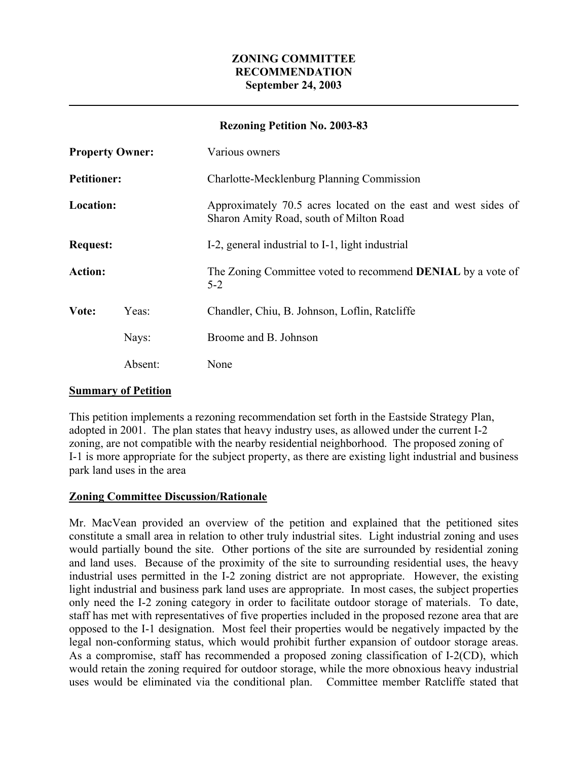## **ZONING COMMITTEE RECOMMENDATION September 24, 2003**

#### **Rezoning Petition No. 2003-83**

| <b>Property Owner:</b> |         | Various owners                                                                                            |
|------------------------|---------|-----------------------------------------------------------------------------------------------------------|
| <b>Petitioner:</b>     |         | Charlotte-Mecklenburg Planning Commission                                                                 |
| <b>Location:</b>       |         | Approximately 70.5 acres located on the east and west sides of<br>Sharon Amity Road, south of Milton Road |
| <b>Request:</b>        |         | I-2, general industrial to I-1, light industrial                                                          |
| <b>Action:</b>         |         | The Zoning Committee voted to recommend <b>DENIAL</b> by a vote of<br>$5 - 2$                             |
| Vote:                  | Yeas:   | Chandler, Chiu, B. Johnson, Loflin, Ratcliffe                                                             |
|                        | Nays:   | Broome and B. Johnson                                                                                     |
|                        | Absent: | None                                                                                                      |

#### **Summary of Petition**

This petition implements a rezoning recommendation set forth in the Eastside Strategy Plan, adopted in 2001. The plan states that heavy industry uses, as allowed under the current I-2 zoning, are not compatible with the nearby residential neighborhood. The proposed zoning of I-1 is more appropriate for the subject property, as there are existing light industrial and business park land uses in the area

# **Zoning Committee Discussion/Rationale**

Mr. MacVean provided an overview of the petition and explained that the petitioned sites constitute a small area in relation to other truly industrial sites. Light industrial zoning and uses would partially bound the site. Other portions of the site are surrounded by residential zoning and land uses. Because of the proximity of the site to surrounding residential uses, the heavy industrial uses permitted in the I-2 zoning district are not appropriate. However, the existing light industrial and business park land uses are appropriate. In most cases, the subject properties only need the I-2 zoning category in order to facilitate outdoor storage of materials. To date, staff has met with representatives of five properties included in the proposed rezone area that are opposed to the I-1 designation. Most feel their properties would be negatively impacted by the legal non-conforming status, which would prohibit further expansion of outdoor storage areas. As a compromise, staff has recommended a proposed zoning classification of I-2(CD), which would retain the zoning required for outdoor storage, while the more obnoxious heavy industrial uses would be eliminated via the conditional plan. Committee member Ratcliffe stated that